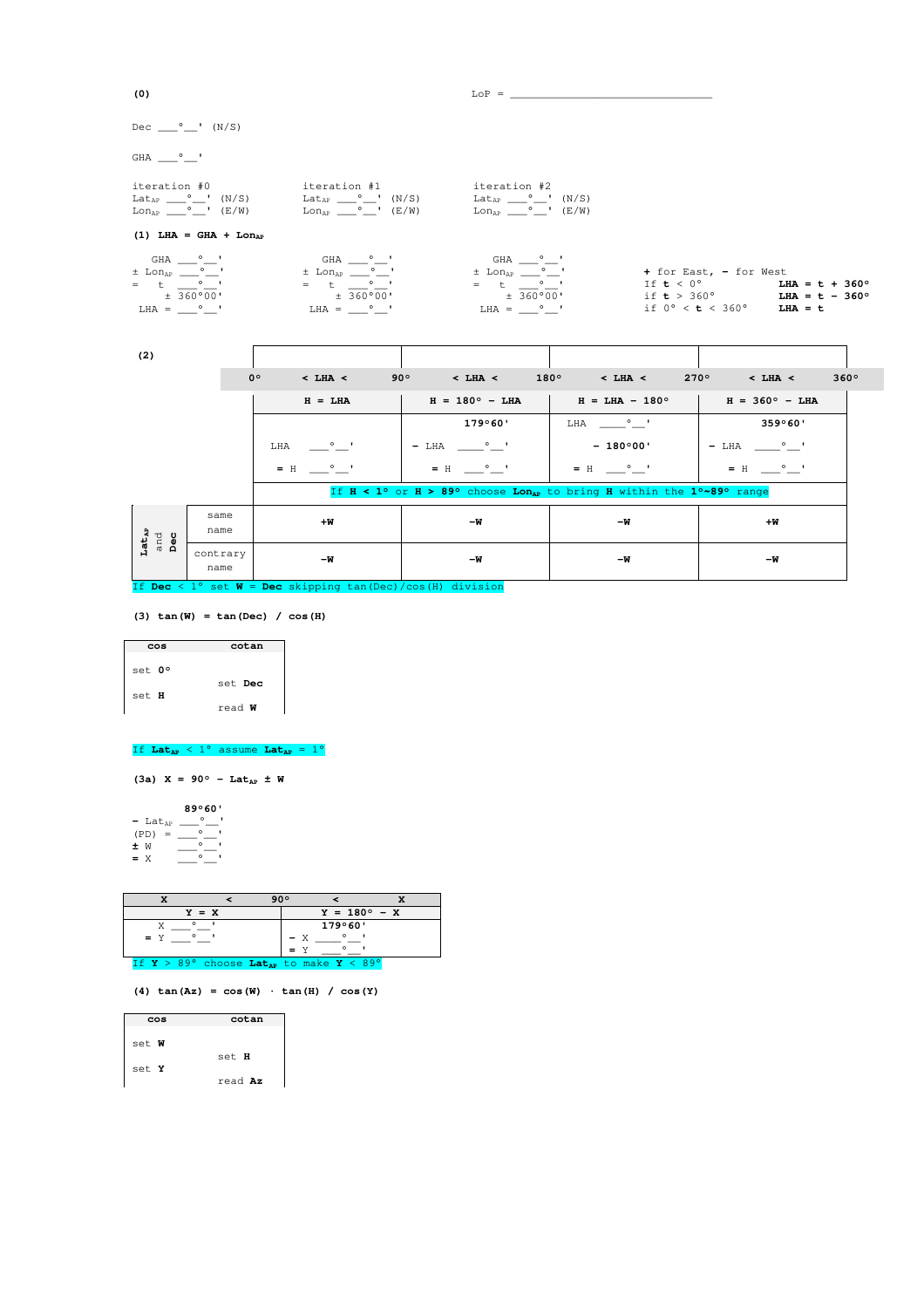| Dec $\circ$ ' (N/S)                                                                                                                                                                                                     |             |                                                                                                                   |              |                                                                                                               |                              |                                                                                          |                          |                                                                         |
|-------------------------------------------------------------------------------------------------------------------------------------------------------------------------------------------------------------------------|-------------|-------------------------------------------------------------------------------------------------------------------|--------------|---------------------------------------------------------------------------------------------------------------|------------------------------|------------------------------------------------------------------------------------------|--------------------------|-------------------------------------------------------------------------|
| GHA <sup>o</sup> '                                                                                                                                                                                                      |             |                                                                                                                   |              |                                                                                                               |                              |                                                                                          |                          |                                                                         |
| iteration #0<br>$\text{Lat}_{\text{AP}}$ $\_\_\circ$ (N/S) $\qquad \text{Lat}_{\text{AP}}$ $\_\circ$ (N/S)<br>$\text{Lon}_{\text{AP}} \_\_\circ \_\_\text{I}$ (E/W) $\text{Lon}_{\text{AP}} \_\_\circ \_\text{I}$ (E/W) |             | iteration #1                                                                                                      |              | iteration #2<br>$LatAP \_\_\circ \_\_\prime'$ (N/S)<br>$\text{Lon}_{\text{AP}} \_\_\circ \_\_\^\circ$ ' (E/W) |                              |                                                                                          |                          |                                                                         |
| $(1)$ LHA = GHA + Lon <sub>ap</sub>                                                                                                                                                                                     |             |                                                                                                                   |              |                                                                                                               |                              |                                                                                          |                          |                                                                         |
| GHA ° '<br>$=$ t $\circ$ '<br>± 360°00'<br>$LHA =$ $\circ$ '                                                                                                                                                            |             | GHA ° '<br>$\pm$ Lon <sub>ap</sub> $^{\circ}$ $^{\circ}$<br>$=$ t $\circ$ '<br>$\pm$ 360°00'<br>$LHA =$ $\circ$ ' |              | GHA ° '<br>$=$ t $\circ$ '<br>$\pm$ 360°00'<br>$LHA =$ $\circ$ '                                              |                              | + for East, - for West<br>If $t < 0^{\circ}$<br>if $0^{\circ} < b < 360^{\circ}$ LHA = t |                          | $LHA = t + 360^{\circ}$<br>if $t > 360^{\circ}$ LHA = $t - 360^{\circ}$ |
| (2)                                                                                                                                                                                                                     |             |                                                                                                                   |              |                                                                                                               |                              |                                                                                          |                          |                                                                         |
|                                                                                                                                                                                                                         | $0^{\circ}$ | $<$ LHA $<$                                                                                                       | $90^{\circ}$ | $<$ LHA $<$                                                                                                   | $180^{\circ}$<br>$<$ LHA $<$ | $270^\circ$                                                                              | $<$ LHA $<$              | $360^\circ$                                                             |
|                                                                                                                                                                                                                         |             | $H = T.HA$                                                                                                        |              | $H = 180^{\circ} - I.HA$                                                                                      | $H = T.HA - 180^{\circ}$     |                                                                                          | $H = 360^{\circ} - I.HA$ |                                                                         |

| $H = LHA$                       |                  | $H = 180^{\circ} - LHA$          | $H = LHA - 180^\circ$                                                                                        | $H = 360^{\circ} - LHA$  |                              |
|---------------------------------|------------------|----------------------------------|--------------------------------------------------------------------------------------------------------------|--------------------------|------------------------------|
|                                 |                  |                                  | 179°60'                                                                                                      | $\circ$ $\bullet$<br>LHA | 359°60'                      |
|                                 |                  | $\circ$ $\circ$ $\bullet$<br>LHA | $\sim$ 0 $\sim$ 1<br>$- LHA$                                                                                 | $-180^{\circ}00'$        | $\sim$ 0 $\sim$ 1<br>$- LHA$ |
|                                 |                  | $=$ H                            | $\sim$ 0 $\sim$ 1<br>$=$ H                                                                                   | $=$ H $\circ$ $\qquad$   | $\equiv$ $\sim$<br>$=$ H     |
|                                 |                  |                                  | If $H < 1^{\circ}$ or $H > 89^{\circ}$ choose Lon <sub>ap</sub> to bring H within the $1^{\circ}$ -89° range |                          |                              |
| $_{\tt Lat_{AP}}$<br>and<br>Dec | same<br>name     | $+W$                             | -W                                                                                                           | – W                      | $+W$                         |
|                                 | contrary<br>name | – W                              | -W                                                                                                           | – W                      | – W                          |

If **Dec** < 1° set **W** = **Dec** skipping tan(Dec)/cos(H) division

**(3) tan(W) = tan(Dec) / cos(H)** 

| cos    | cotan    |
|--------|----------|
| set 0° |          |
| set H  | set Dec  |
|        | $read$ W |

## If  $Lat_{AP} < 1^{\circ}$  assume  $Lat_{AP} = 1^{\circ}$

 $(3a)$  X = 90° - Lat<sub>AP</sub> ± W

**89°60'**<br>
(PD) = \_\_\_°\_\_'<br> **±** W \_\_\_\_°\_\_'<br>
= X \_\_\_\_°\_\_'

|                                                                   | 90° |     |         |                       |
|-------------------------------------------------------------------|-----|-----|---------|-----------------------|
| $Y = X$                                                           |     |     |         | $Y = 180^{\circ} - X$ |
| $\circ$                                                           |     |     | 179°60' |                       |
| $=$ Y                                                             |     | — х |         |                       |
|                                                                   |     |     |         |                       |
| If $Y > 89^\circ$ choose Lat <sub>ap</sub> to make $Y < 89^\circ$ |     |     |         |                       |

**(4) tan(Az) = cos(W) · tan(H) / cos(Y)** 

| cos   | cotan   |
|-------|---------|
| set W |         |
| set Y | set H   |
|       | read Az |

(0)  $\qquad \qquad \text{LOP} = \qquad \qquad$